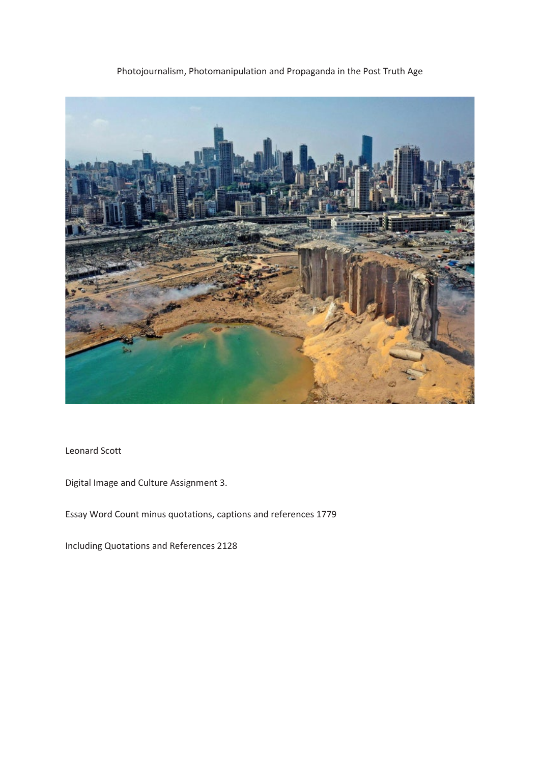## Photojournalism, Photomanipulation and Propaganda in the Post Truth Age



Leonard Scott

Digital Image and Culture Assignment 3.

Essay Word Count minus quotations, captions and references 1779

Including Quotations and References 2128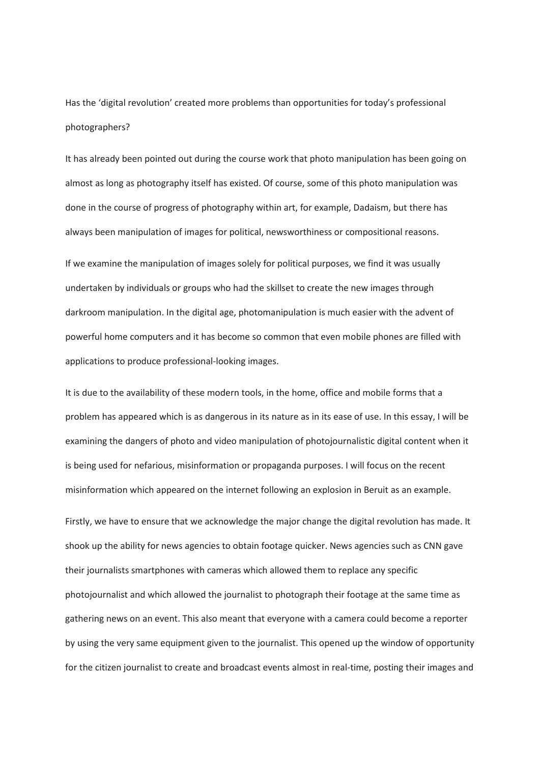Has the 'digital revolution' created more problems than opportunities for today's professional photographers?

It has already been pointed out during the course work that photo manipulation has been going on almost as long as photography itself has existed. Of course, some of this photo manipulation was done in the course of progress of photography within art, for example, Dadaism, but there has always been manipulation of images for political, newsworthiness or compositional reasons.

If we examine the manipulation of images solely for political purposes, we find it was usually undertaken by individuals or groups who had the skillset to create the new images through darkroom manipulation. In the digital age, photomanipulation is much easier with the advent of powerful home computers and it has become so common that even mobile phones are filled with applications to produce professional-looking images.

It is due to the availability of these modern tools, in the home, office and mobile forms that a problem has appeared which is as dangerous in its nature as in its ease of use. In this essay, I will be examining the dangers of photo and video manipulation of photojournalistic digital content when it is being used for nefarious, misinformation or propaganda purposes. I will focus on the recent misinformation which appeared on the internet following an explosion in Beruit as an example.

Firstly, we have to ensure that we acknowledge the major change the digital revolution has made. It shook up the ability for news agencies to obtain footage quicker. News agencies such as CNN gave their journalists smartphones with cameras which allowed them to replace any specific photojournalist and which allowed the journalist to photograph their footage at the same time as gathering news on an event. This also meant that everyone with a camera could become a reporter by using the very same equipment given to the journalist. This opened up the window of opportunity for the citizen journalist to create and broadcast events almost in real-time, posting their images and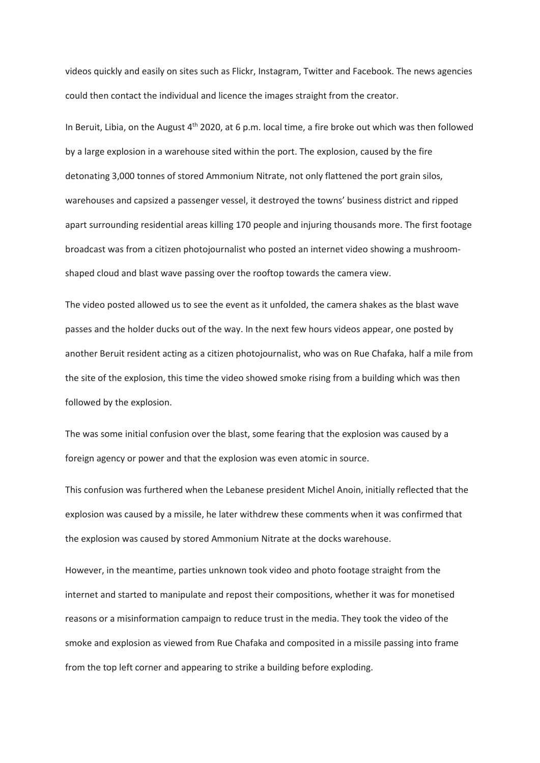videos quickly and easily on sites such as Flickr, Instagram, Twitter and Facebook. The news agencies could then contact the individual and licence the images straight from the creator.

In Beruit, Libia, on the August 4<sup>th</sup> 2020, at 6 p.m. local time, a fire broke out which was then followed by a large explosion in a warehouse sited within the port. The explosion, caused by the fire detonating 3,000 tonnes of stored Ammonium Nitrate, not only flattened the port grain silos, warehouses and capsized a passenger vessel, it destroyed the towns' business district and ripped apart surrounding residential areas killing 170 people and injuring thousands more. The first footage broadcast was from a citizen photojournalist who posted an internet video showing a mushroomshaped cloud and blast wave passing over the rooftop towards the camera view.

The video posted allowed us to see the event as it unfolded, the camera shakes as the blast wave passes and the holder ducks out of the way. In the next few hours videos appear, one posted by another Beruit resident acting as a citizen photojournalist, who was on Rue Chafaka, half a mile from the site of the explosion, this time the video showed smoke rising from a building which was then followed by the explosion.

The was some initial confusion over the blast, some fearing that the explosion was caused by a foreign agency or power and that the explosion was even atomic in source.

This confusion was furthered when the Lebanese president Michel Anoin, initially reflected that the explosion was caused by a missile, he later withdrew these comments when it was confirmed that the explosion was caused by stored Ammonium Nitrate at the docks warehouse.

However, in the meantime, parties unknown took video and photo footage straight from the internet and started to manipulate and repost their compositions, whether it was for monetised reasons or a misinformation campaign to reduce trust in the media. They took the video of the smoke and explosion as viewed from Rue Chafaka and composited in a missile passing into frame from the top left corner and appearing to strike a building before exploding.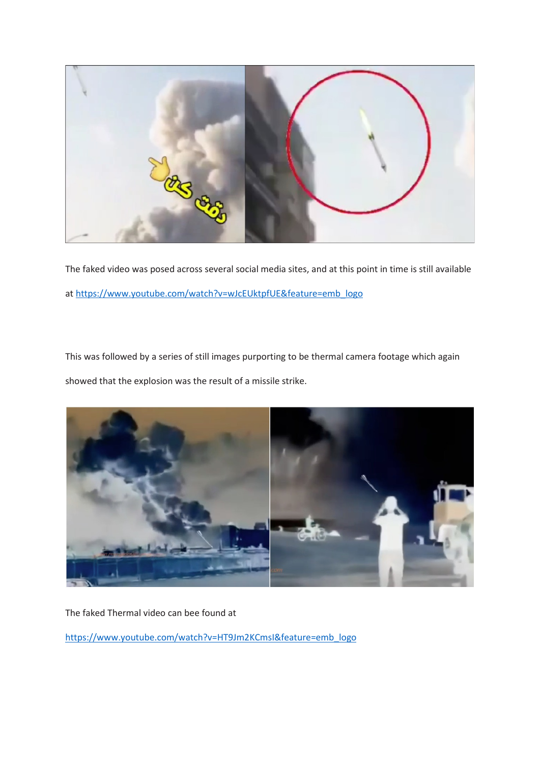

The faked video was posed across several social media sites, and at this point in time is still available at [https://www.youtube.com/watch?v=wJcEUktpfUE&feature=emb\\_logo](https://www.youtube.com/watch?v=wJcEUktpfUE&feature=emb_logo)

This was followed by a series of still images purporting to be thermal camera footage which again showed that the explosion was the result of a missile strike.



The faked Thermal video can bee found at

[https://www.youtube.com/watch?v=HT9Jm2KCmsI&feature=emb\\_logo](https://www.youtube.com/watch?v=HT9Jm2KCmsI&feature=emb_logo)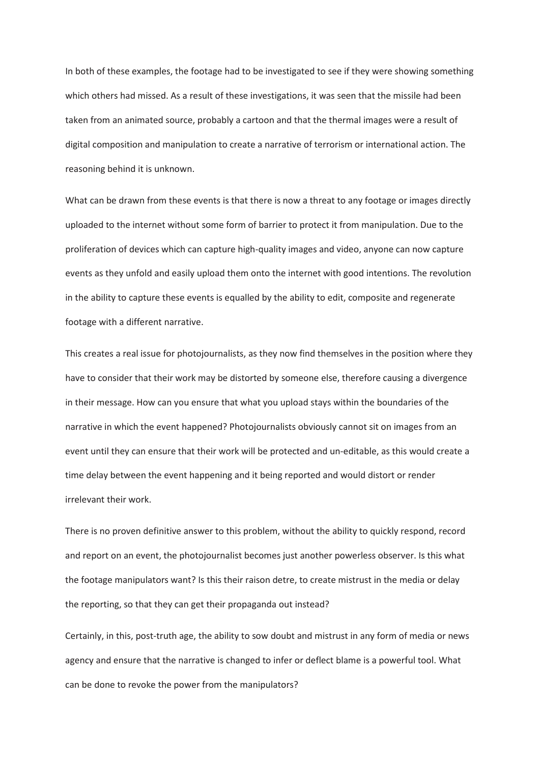In both of these examples, the footage had to be investigated to see if they were showing something which others had missed. As a result of these investigations, it was seen that the missile had been taken from an animated source, probably a cartoon and that the thermal images were a result of digital composition and manipulation to create a narrative of terrorism or international action. The reasoning behind it is unknown.

What can be drawn from these events is that there is now a threat to any footage or images directly uploaded to the internet without some form of barrier to protect it from manipulation. Due to the proliferation of devices which can capture high-quality images and video, anyone can now capture events as they unfold and easily upload them onto the internet with good intentions. The revolution in the ability to capture these events is equalled by the ability to edit, composite and regenerate footage with a different narrative.

This creates a real issue for photojournalists, as they now find themselves in the position where they have to consider that their work may be distorted by someone else, therefore causing a divergence in their message. How can you ensure that what you upload stays within the boundaries of the narrative in which the event happened? Photojournalists obviously cannot sit on images from an event until they can ensure that their work will be protected and un-editable, as this would create a time delay between the event happening and it being reported and would distort or render irrelevant their work.

There is no proven definitive answer to this problem, without the ability to quickly respond, record and report on an event, the photojournalist becomes just another powerless observer. Is this what the footage manipulators want? Is this their raison detre, to create mistrust in the media or delay the reporting, so that they can get their propaganda out instead?

Certainly, in this, post-truth age, the ability to sow doubt and mistrust in any form of media or news agency and ensure that the narrative is changed to infer or deflect blame is a powerful tool. What can be done to revoke the power from the manipulators?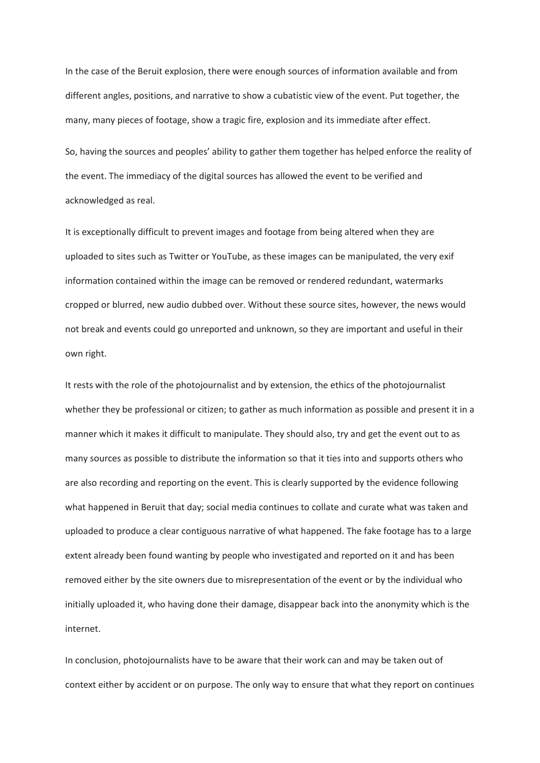In the case of the Beruit explosion, there were enough sources of information available and from different angles, positions, and narrative to show a cubatistic view of the event. Put together, the many, many pieces of footage, show a tragic fire, explosion and its immediate after effect.

So, having the sources and peoples' ability to gather them together has helped enforce the reality of the event. The immediacy of the digital sources has allowed the event to be verified and acknowledged as real.

It is exceptionally difficult to prevent images and footage from being altered when they are uploaded to sites such as Twitter or YouTube, as these images can be manipulated, the very exif information contained within the image can be removed or rendered redundant, watermarks cropped or blurred, new audio dubbed over. Without these source sites, however, the news would not break and events could go unreported and unknown, so they are important and useful in their own right.

It rests with the role of the photojournalist and by extension, the ethics of the photojournalist whether they be professional or citizen; to gather as much information as possible and present it in a manner which it makes it difficult to manipulate. They should also, try and get the event out to as many sources as possible to distribute the information so that it ties into and supports others who are also recording and reporting on the event. This is clearly supported by the evidence following what happened in Beruit that day; social media continues to collate and curate what was taken and uploaded to produce a clear contiguous narrative of what happened. The fake footage has to a large extent already been found wanting by people who investigated and reported on it and has been removed either by the site owners due to misrepresentation of the event or by the individual who initially uploaded it, who having done their damage, disappear back into the anonymity which is the internet.

In conclusion, photojournalists have to be aware that their work can and may be taken out of context either by accident or on purpose. The only way to ensure that what they report on continues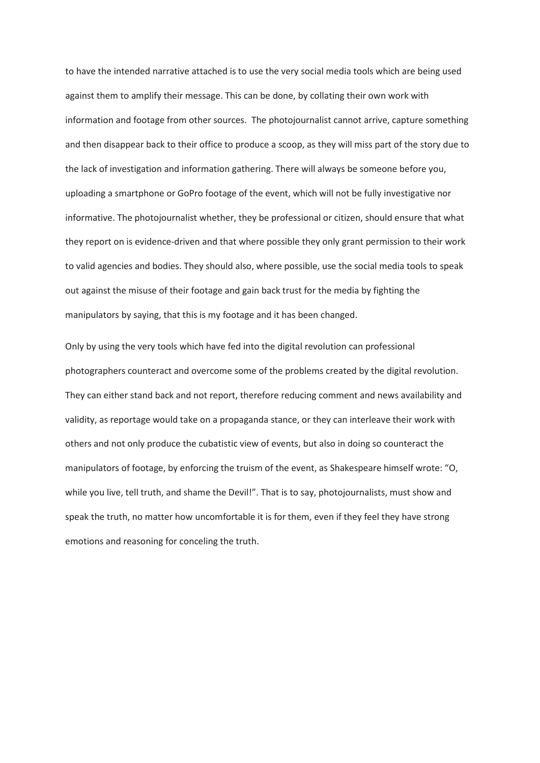to have the intended narrative attached is to use the very social media tools which are being used against them to amplify their message. This can be done, by collating their own work with information and footage from other sources. The photojournalist cannot arrive, capture something and then disappear back to their office to produce a scoop, as they will miss part of the story due to the lack of investigation and information gathering. There will always be someone before you, uploading a smartphone or GoPro footage of the event, which will not be fully investigative nor informative. The photojournalist whether, they be professional or citizen, should ensure that what they report on is evidence-driven and that where possible they only grant permission to their work to valid agencies and bodies. They should also, where possible, use the social media tools to speak out against the misuse of their footage and gain back trust for the media by fighting the manipulators by saying, that this is my footage and it has been changed.

Only by using the very tools which have fed into the digital revolution can professional photographers counteract and overcome some of the problems created by the digital revolution. They can either stand back and not report, therefore reducing comment and news availability and validity, as reportage would take on a propaganda stance, or they can interleave their work with others and not only produce the cubatistic view of events, but also in doing so counteract the manipulators of footage, by enforcing the truism of the event, as Shakespeare himself wrote: "O, while you live, tell truth, and shame the Devil!". That is to say, photojournalists, must show and speak the truth, no matter how uncomfortable it is for them, even if they feel they have strong emotions and reasoning for conceling the truth.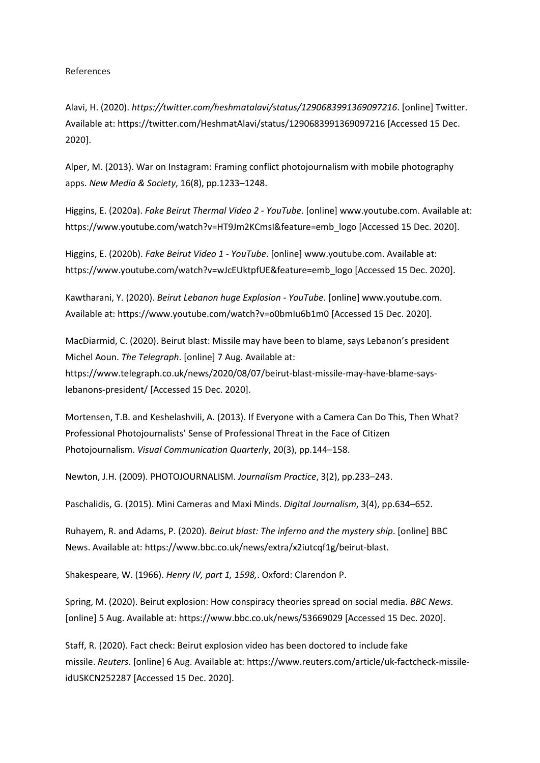## References

Alavi, H. (2020). *https://twitter.com/heshmatalavi/status/1290683991369097216*. [online] Twitter. Available at: https://twitter.com/HeshmatAlavi/status/1290683991369097216 [Accessed 15 Dec. 2020].

Alper, M. (2013). War on Instagram: Framing conflict photojournalism with mobile photography apps. *New Media & Society*, 16(8), pp.1233–1248.

Higgins, E. (2020a). *Fake Beirut Thermal Video 2 - YouTube*. [online] www.youtube.com. Available at: https://www.youtube.com/watch?v=HT9Jm2KCmsI&feature=emb\_logo [Accessed 15 Dec. 2020].

Higgins, E. (2020b). *Fake Beirut Video 1 - YouTube*. [online] www.youtube.com. Available at: https://www.youtube.com/watch?v=wJcEUktpfUE&feature=emb\_logo [Accessed 15 Dec. 2020].

Kawtharani, Y. (2020). *Beirut Lebanon huge Explosion - YouTube*. [online] www.youtube.com. Available at: https://www.youtube.com/watch?v=o0bmIu6b1m0 [Accessed 15 Dec. 2020].

MacDiarmid, C. (2020). Beirut blast: Missile may have been to blame, says Lebanon's president Michel Aoun. *The Telegraph*. [online] 7 Aug. Available at: https://www.telegraph.co.uk/news/2020/08/07/beirut-blast-missile-may-have-blame-says-

lebanons-president/ [Accessed 15 Dec. 2020].

Mortensen, T.B. and Keshelashvili, A. (2013). If Everyone with a Camera Can Do This, Then What? Professional Photojournalists' Sense of Professional Threat in the Face of Citizen Photojournalism. *Visual Communication Quarterly*, 20(3), pp.144–158.

Newton, J.H. (2009). PHOTOJOURNALISM. *Journalism Practice*, 3(2), pp.233–243.

Paschalidis, G. (2015). Mini Cameras and Maxi Minds. *Digital Journalism*, 3(4), pp.634–652.

Ruhayem, R. and Adams, P. (2020). *Beirut blast: The inferno and the mystery ship*. [online] BBC News. Available at: https://www.bbc.co.uk/news/extra/x2iutcqf1g/beirut-blast.

Shakespeare, W. (1966). *Henry IV, part 1, 1598,*. Oxford: Clarendon P.

Spring, M. (2020). Beirut explosion: How conspiracy theories spread on social media. *BBC News*. [online] 5 Aug. Available at: https://www.bbc.co.uk/news/53669029 [Accessed 15 Dec. 2020].

Staff, R. (2020). Fact check: Beirut explosion video has been doctored to include fake missile. *Reuters*. [online] 6 Aug. Available at: https://www.reuters.com/article/uk-factcheck-missileidUSKCN252287 [Accessed 15 Dec. 2020].